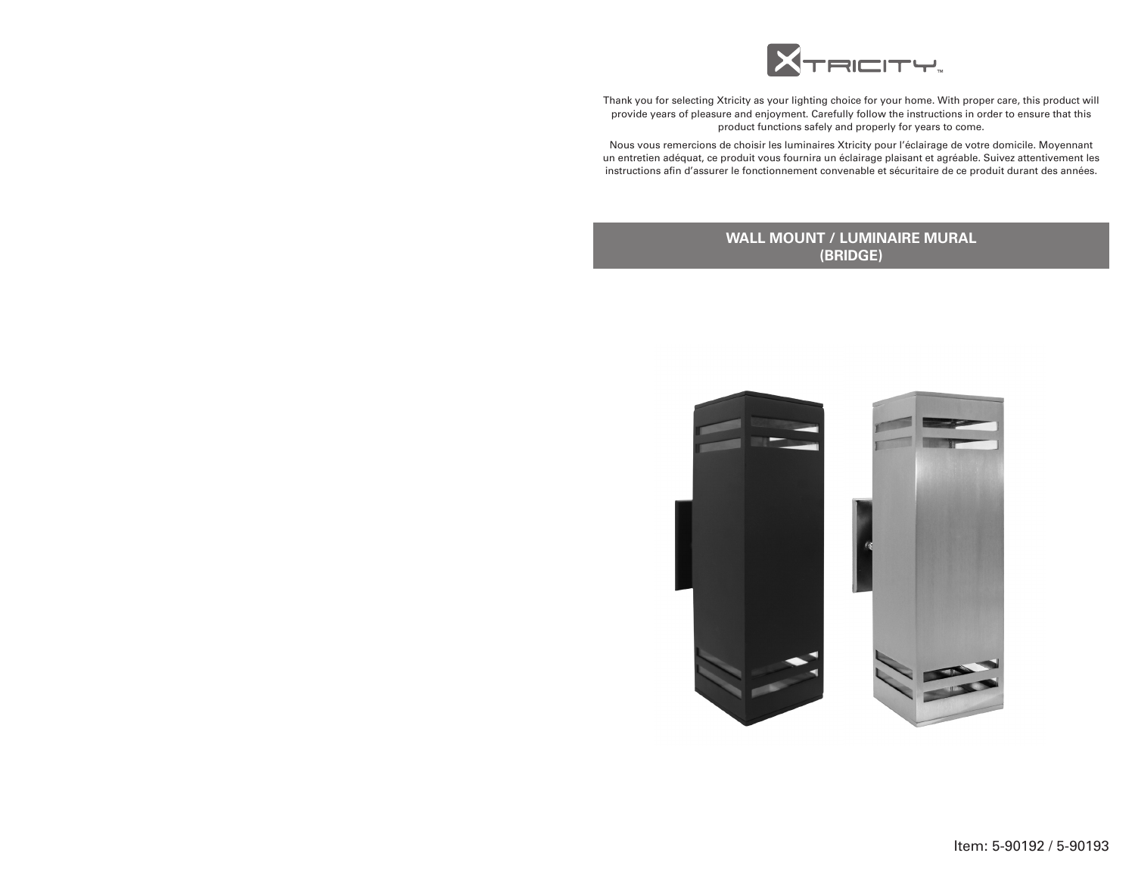

Thank you for selecting Xtricity as your lighting choice for your home. With proper care, this product will provide years of pleasure and enjoyment. Carefully follow the instructions in order to ensure that this product functions safely and properly for years to come.

Nous vous remercions de choisir les luminaires Xtricity pour l'éclairage de votre domicile. Moyennant un entretien adéquat, ce produit vous fournira un éclairage plaisant et agréable. Suivez attentivement les instructions afin d'assurer le fonctionnement convenable et sécuritaire de ce produit durant des années.

# **WALL MOUNT / LUMINAIRE MURAL (BRIDGE)**